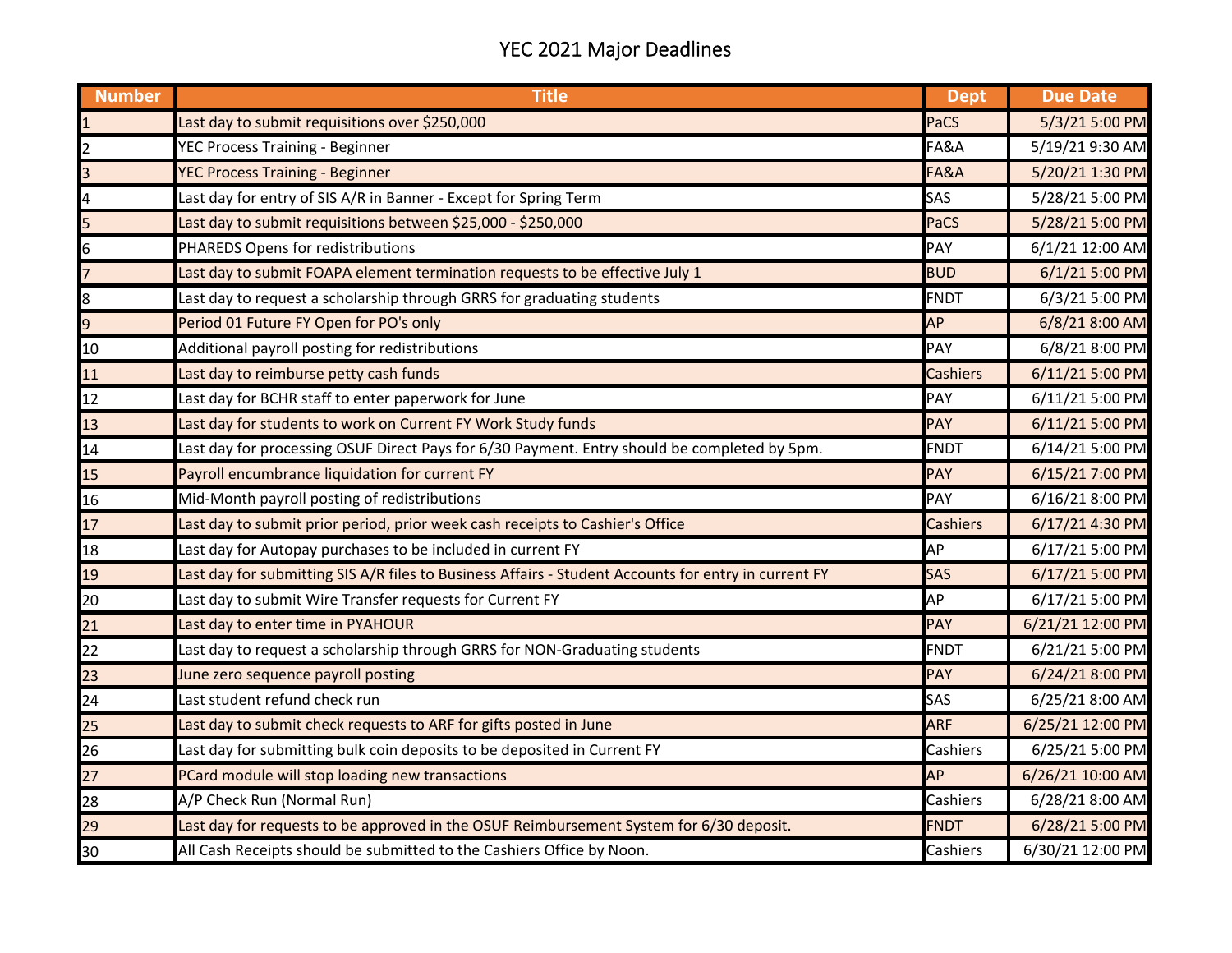## YEC 2021 Major Deadlines

| <b>Number</b>           | <b>Title</b>                                                                                         | <b>Dept</b>     | <b>Due Date</b>  |
|-------------------------|------------------------------------------------------------------------------------------------------|-----------------|------------------|
|                         | Last day to submit requisitions over \$250,000                                                       | PaCS            | 5/3/21 5:00 PM   |
| 2                       | YEC Process Training - Beginner                                                                      | FA&A            | 5/19/21 9:30 AM  |
| $\overline{\mathbf{3}}$ | <b>YEC Process Training - Beginner</b>                                                               | FA&A            | 5/20/21 1:30 PM  |
| 4                       | Last day for entry of SIS A/R in Banner - Except for Spring Term                                     | SAS             | 5/28/21 5:00 PM  |
| 5                       | Last day to submit requisitions between \$25,000 - \$250,000                                         | PaCS            | 5/28/21 5:00 PM  |
| 6                       | PHAREDS Opens for redistributions                                                                    | PAY             | 6/1/21 12:00 AM  |
| $\overline{7}$          | Last day to submit FOAPA element termination requests to be effective July 1                         | <b>BUD</b>      | 6/1/21 5:00 PM   |
| 8                       | Last day to request a scholarship through GRRS for graduating students                               | <b>FNDT</b>     | 6/3/21 5:00 PM   |
| 9                       | Period 01 Future FY Open for PO's only                                                               | <b>AP</b>       | 6/8/21 8:00 AM   |
| 10                      | Additional payroll posting for redistributions                                                       | PAY             | 6/8/21 8:00 PM   |
| 11                      | Last day to reimburse petty cash funds                                                               | Cashiers        | 6/11/21 5:00 PM  |
| 12                      | Last day for BCHR staff to enter paperwork for June                                                  | PAY             | 6/11/21 5:00 PM  |
| 13                      | Last day for students to work on Current FY Work Study funds                                         | <b>PAY</b>      | 6/11/21 5:00 PM  |
| 14                      | Last day for processing OSUF Direct Pays for 6/30 Payment. Entry should be completed by 5pm.         | <b>FNDT</b>     | 6/14/21 5:00 PM  |
| 15                      | Payroll encumbrance liquidation for current FY                                                       | <b>PAY</b>      | 6/15/21 7:00 PM  |
| 16                      | Mid-Month payroll posting of redistributions                                                         | PAY             | 6/16/21 8:00 PM  |
| 17                      | Last day to submit prior period, prior week cash receipts to Cashier's Office                        | <b>Cashiers</b> | 6/17/21 4:30 PM  |
| 18                      | Last day for Autopay purchases to be included in current FY                                          | AP              | 6/17/21 5:00 PM  |
| 19                      | Last day for submitting SIS A/R files to Business Affairs - Student Accounts for entry in current FY | <b>SAS</b>      | 6/17/21 5:00 PM  |
| 20                      | Last day to submit Wire Transfer requests for Current FY                                             | AP              | 6/17/21 5:00 PM  |
| 21                      | Last day to enter time in PYAHOUR                                                                    | PAY             | 6/21/21 12:00 PM |
| 22                      | Last day to request a scholarship through GRRS for NON-Graduating students                           | <b>FNDT</b>     | 6/21/21 5:00 PM  |
| 23                      | June zero sequence payroll posting                                                                   | PAY             | 6/24/21 8:00 PM  |
| 24                      | Last student refund check run                                                                        | SAS             | 6/25/21 8:00 AM  |
| 25                      | Last day to submit check requests to ARF for gifts posted in June                                    | <b>ARF</b>      | 6/25/21 12:00 PM |
| 26                      | Last day for submitting bulk coin deposits to be deposited in Current FY                             | Cashiers        | 6/25/21 5:00 PM  |
| 27                      | PCard module will stop loading new transactions                                                      | AP              | 6/26/21 10:00 AM |
| 28                      | A/P Check Run (Normal Run)                                                                           | Cashiers        | 6/28/21 8:00 AM  |
| 29                      | Last day for requests to be approved in the OSUF Reimbursement System for 6/30 deposit.              | <b>FNDT</b>     | 6/28/21 5:00 PM  |
| 30                      | All Cash Receipts should be submitted to the Cashiers Office by Noon.                                | Cashiers        | 6/30/21 12:00 PM |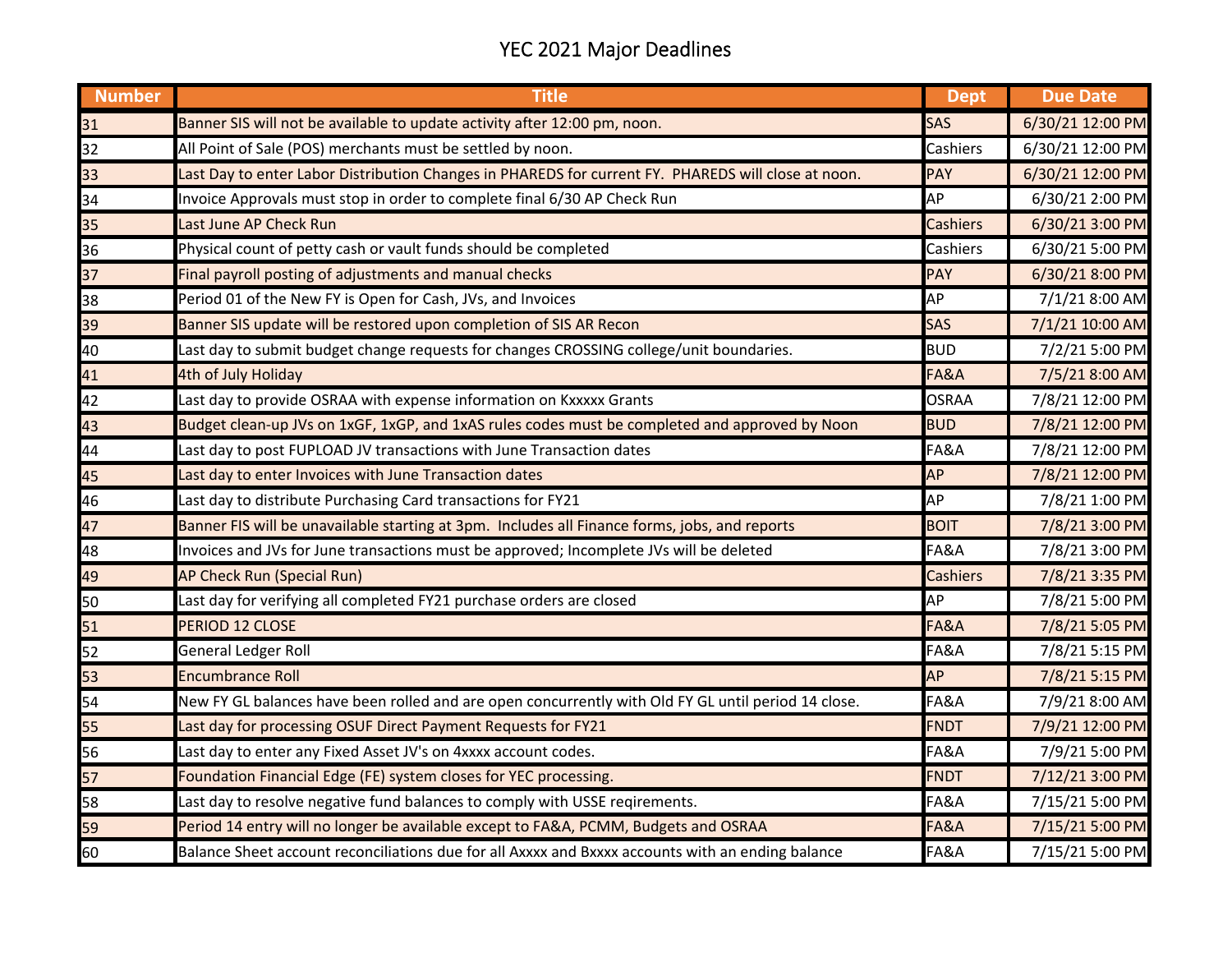## YEC 2021 Major Deadlines

| <b>Number</b> | <b>Title</b>                                                                                        | <b>Dept</b>     | <b>Due Date</b>  |
|---------------|-----------------------------------------------------------------------------------------------------|-----------------|------------------|
| 31            | Banner SIS will not be available to update activity after 12:00 pm, noon.                           | <b>SAS</b>      | 6/30/21 12:00 PM |
| 32            | All Point of Sale (POS) merchants must be settled by noon.                                          | Cashiers        | 6/30/21 12:00 PM |
| 33            | Last Day to enter Labor Distribution Changes in PHAREDS for current FY. PHAREDS will close at noon. | <b>PAY</b>      | 6/30/21 12:00 PM |
| 34            | Invoice Approvals must stop in order to complete final 6/30 AP Check Run                            | <b>AP</b>       | 6/30/21 2:00 PM  |
| 35            | Last June AP Check Run                                                                              | <b>Cashiers</b> | 6/30/21 3:00 PM  |
| 36            | Physical count of petty cash or vault funds should be completed                                     | Cashiers        | 6/30/21 5:00 PM  |
| 37            | Final payroll posting of adjustments and manual checks                                              | <b>PAY</b>      | 6/30/21 8:00 PM  |
| 38            | Period 01 of the New FY is Open for Cash, JVs, and Invoices                                         | AP              | 7/1/21 8:00 AM   |
| 39            | Banner SIS update will be restored upon completion of SIS AR Recon                                  | <b>SAS</b>      | 7/1/21 10:00 AM  |
| 40            | Last day to submit budget change requests for changes CROSSING college/unit boundaries.             | <b>BUD</b>      | 7/2/21 5:00 PM   |
| 41            | 4th of July Holiday                                                                                 | FA&A            | 7/5/21 8:00 AM   |
| 42            | Last day to provide OSRAA with expense information on Kxxxxx Grants                                 | <b>OSRAA</b>    | 7/8/21 12:00 PM  |
| 43            | Budget clean-up JVs on 1xGF, 1xGP, and 1xAS rules codes must be completed and approved by Noon      | <b>BUD</b>      | 7/8/21 12:00 PM  |
| 44            | Last day to post FUPLOAD JV transactions with June Transaction dates                                | FA&A            | 7/8/21 12:00 PM  |
| 45            | Last day to enter Invoices with June Transaction dates                                              | <b>AP</b>       | 7/8/21 12:00 PM  |
| 46            | Last day to distribute Purchasing Card transactions for FY21                                        | AP              | 7/8/21 1:00 PM   |
| 47            | Banner FIS will be unavailable starting at 3pm. Includes all Finance forms, jobs, and reports       | <b>BOIT</b>     | 7/8/21 3:00 PM   |
| 48            | Invoices and JVs for June transactions must be approved; Incomplete JVs will be deleted             | FA&A            | 7/8/21 3:00 PM   |
| 49            | AP Check Run (Special Run)                                                                          | <b>Cashiers</b> | 7/8/21 3:35 PM   |
| 50            | Last day for verifying all completed FY21 purchase orders are closed                                | AP              | 7/8/21 5:00 PM   |
| 51            | PERIOD 12 CLOSE                                                                                     | FA&A            | 7/8/21 5:05 PM   |
| 52            | <b>General Ledger Roll</b>                                                                          | FA&A            | 7/8/21 5:15 PM   |
| 53            | <b>Encumbrance Roll</b>                                                                             | AP              | 7/8/21 5:15 PM   |
| 54            | New FY GL balances have been rolled and are open concurrently with Old FY GL until period 14 close. | FA&A            | 7/9/21 8:00 AM   |
| 55            | Last day for processing OSUF Direct Payment Requests for FY21                                       | FNDT            | 7/9/21 12:00 PM  |
| 56            | Last day to enter any Fixed Asset JV's on 4xxxx account codes.                                      | FA&A            | 7/9/21 5:00 PM   |
| 57            | Foundation Financial Edge (FE) system closes for YEC processing.                                    | <b>FNDT</b>     | 7/12/21 3:00 PM  |
| 58            | Last day to resolve negative fund balances to comply with USSE reqirements.                         | FA&A            | 7/15/21 5:00 PM  |
| 59            | Period 14 entry will no longer be available except to FA&A, PCMM, Budgets and OSRAA                 | FA&A            | 7/15/21 5:00 PM  |
| 60            | Balance Sheet account reconciliations due for all Axxxx and Bxxxx accounts with an ending balance   | FA&A            | 7/15/21 5:00 PM  |